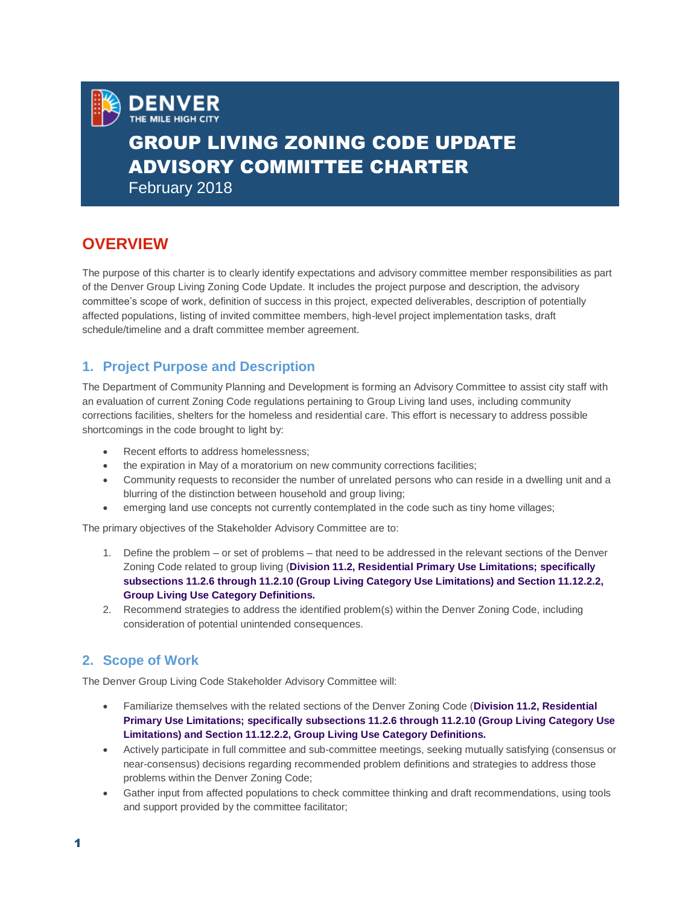

# GROUP LIVING ZONING CODE UPDATE ADVISORY COMMITTEE CHARTER

February 2018

**DENVER** 

# **OVERVIEW**

The purpose of this charter is to clearly identify expectations and advisory committee member responsibilities as part of the Denver Group Living Zoning Code Update. It includes the project purpose and description, the advisory committee's scope of work, definition of success in this project, expected deliverables, description of potentially affected populations, listing of invited committee members, high-level project implementation tasks, draft schedule/timeline and a draft committee member agreement.

# **1. Project Purpose and Description**

The Department of Community Planning and Development is forming an Advisory Committee to assist city staff with an evaluation of current Zoning Code regulations pertaining to Group Living land uses, including community corrections facilities, shelters for the homeless and residential care. This effort is necessary to address possible shortcomings in the code brought to light by:

- Recent efforts to address homelessness;
- the expiration in May of a moratorium on new community corrections facilities;
- Community requests to reconsider the number of unrelated persons who can reside in a dwelling unit and a blurring of the distinction between household and group living;
- emerging land use concepts not currently contemplated in the code such as tiny home villages;

The primary objectives of the Stakeholder Advisory Committee are to:

- 1. Define the problem or set of problems that need to be addressed in the relevant sections of the Denver Zoning Code related to group living (**Division 11.2, Residential Primary Use Limitations; specifically subsections 11.2.6 through 11.2.10 (Group Living Category Use Limitations) and Section 11.12.2.2, Group Living Use Category Definitions.**
- 2. Recommend strategies to address the identified problem(s) within the Denver Zoning Code, including consideration of potential unintended consequences.

# **2. Scope of Work**

The Denver Group Living Code Stakeholder Advisory Committee will:

- Familiarize themselves with the related sections of the Denver Zoning Code (**Division 11.2, Residential Primary Use Limitations; specifically subsections 11.2.6 through 11.2.10 (Group Living Category Use Limitations) and Section 11.12.2.2, Group Living Use Category Definitions.**
- Actively participate in full committee and sub-committee meetings, seeking mutually satisfying (consensus or near-consensus) decisions regarding recommended problem definitions and strategies to address those problems within the Denver Zoning Code;
- Gather input from affected populations to check committee thinking and draft recommendations, using tools and support provided by the committee facilitator;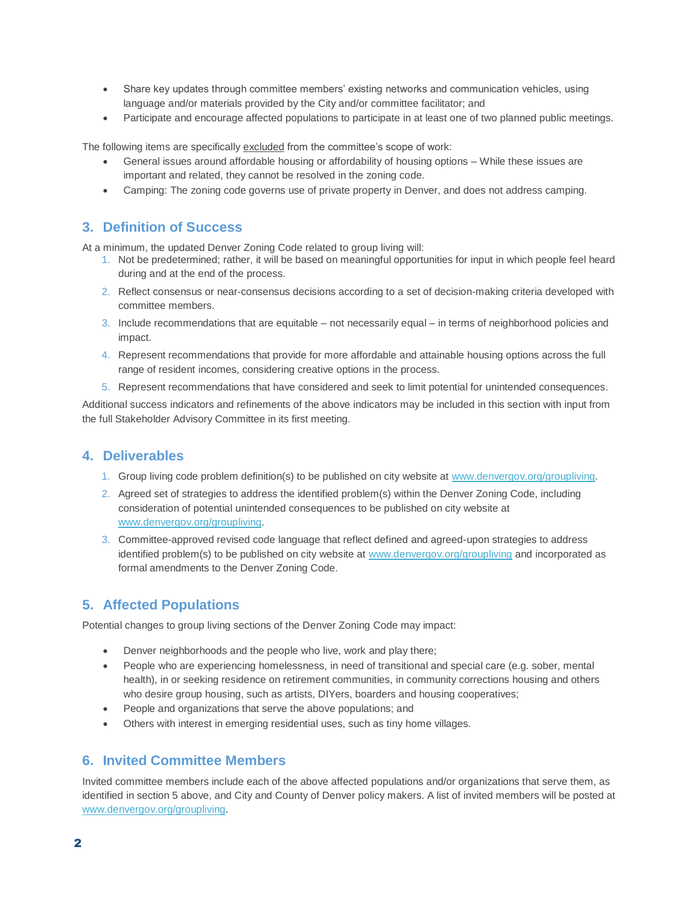- Share key updates through committee members' existing networks and communication vehicles, using language and/or materials provided by the City and/or committee facilitator; and
- Participate and encourage affected populations to participate in at least one of two planned public meetings.

The following items are specifically excluded from the committee's scope of work:

- General issues around affordable housing or affordability of housing options While these issues are important and related, they cannot be resolved in the zoning code.
- Camping: The zoning code governs use of private property in Denver, and does not address camping.

#### **3. Definition of Success**

At a minimum, the updated Denver Zoning Code related to group living will:

- 1. Not be predetermined; rather, it will be based on meaningful opportunities for input in which people feel heard during and at the end of the process.
- 2. Reflect consensus or near-consensus decisions according to a set of decision-making criteria developed with committee members.
- 3. Include recommendations that are equitable not necessarily equal in terms of neighborhood policies and impact.
- 4. Represent recommendations that provide for more affordable and attainable housing options across the full range of resident incomes, considering creative options in the process.
- 5. Represent recommendations that have considered and seek to limit potential for unintended consequences.

Additional success indicators and refinements of the above indicators may be included in this section with input from the full Stakeholder Advisory Committee in its first meeting.

#### **4. Deliverables**

- 1. Group living code problem definition(s) to be published on city website at [www.denvergov.org/groupliving.](http://www.denvergov.org/groupliving)
- 2. Agreed set of strategies to address the identified problem(s) within the Denver Zoning Code, including consideration of potential unintended consequences to be published on city website at [www.denvergov.org/groupliving.](http://www.denvergov.org/groupliving)
- 3. Committee-approved revised code language that reflect defined and agreed-upon strategies to address identified problem(s) to be published on city website at [www.denvergov.org/groupliving](http://www.denvergov.org/groupliving) and incorporated as formal amendments to the Denver Zoning Code.

# **5. Affected Populations**

Potential changes to group living sections of the Denver Zoning Code may impact:

- Denver neighborhoods and the people who live, work and play there;
- People who are experiencing homelessness, in need of transitional and special care (e.g. sober, mental health), in or seeking residence on retirement communities, in community corrections housing and others who desire group housing, such as artists, DIYers, boarders and housing cooperatives;
- People and organizations that serve the above populations; and
- Others with interest in emerging residential uses, such as tiny home villages.

#### **6. Invited Committee Members**

Invited committee members include each of the above affected populations and/or organizations that serve them, as identified in section 5 above, and City and County of Denver policy makers. A list of invited members will be posted at [www.denvergov.org/groupliving.](http://www.denvergov.org/groupliving)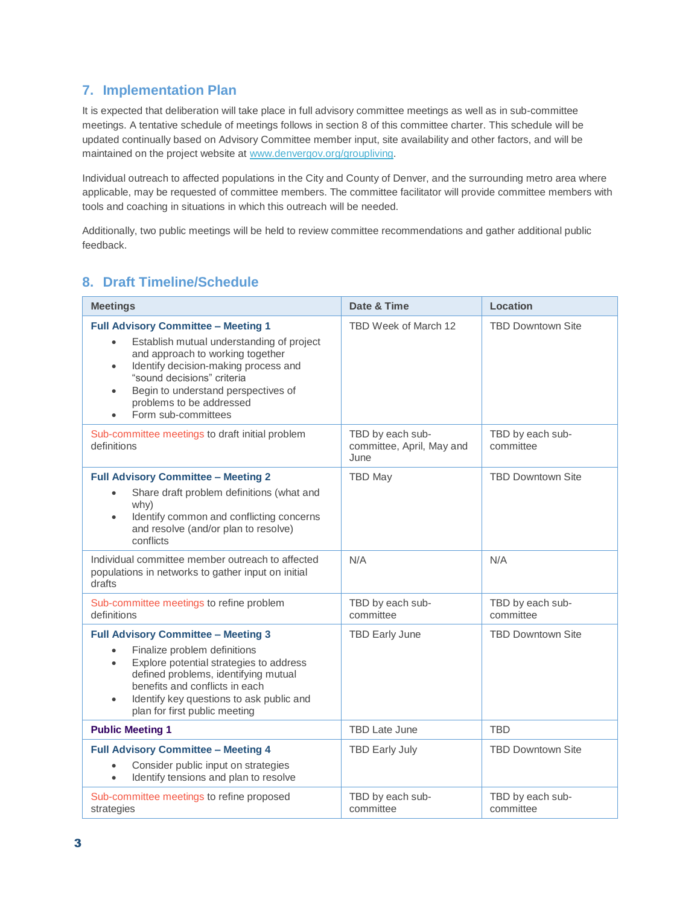# **7. Implementation Plan**

It is expected that deliberation will take place in full advisory committee meetings as well as in sub-committee meetings. A tentative schedule of meetings follows in section 8 of this committee charter. This schedule will be updated continually based on Advisory Committee member input, site availability and other factors, and will be maintained on the project website at [www.denvergov.org/groupliving.](http://www.denvergov.org/groupliving)

Individual outreach to affected populations in the City and County of Denver, and the surrounding metro area where applicable, may be requested of committee members. The committee facilitator will provide committee members with tools and coaching in situations in which this outreach will be needed.

Additionally, two public meetings will be held to review committee recommendations and gather additional public feedback.

### **8. Draft Timeline/Schedule**

| <b>Meetings</b>                                                                                                                                                                                                                                                                                                                    | Date & Time                                           | Location                      |
|------------------------------------------------------------------------------------------------------------------------------------------------------------------------------------------------------------------------------------------------------------------------------------------------------------------------------------|-------------------------------------------------------|-------------------------------|
| <b>Full Advisory Committee - Meeting 1</b><br>Establish mutual understanding of project<br>$\bullet$<br>and approach to working together<br>Identify decision-making process and<br>$\bullet$<br>"sound decisions" criteria<br>Begin to understand perspectives of<br>$\bullet$<br>problems to be addressed<br>Form sub-committees | TBD Week of March 12                                  | <b>TBD Downtown Site</b>      |
| Sub-committee meetings to draft initial problem<br>definitions                                                                                                                                                                                                                                                                     | TBD by each sub-<br>committee, April, May and<br>June | TBD by each sub-<br>committee |
| <b>Full Advisory Committee - Meeting 2</b><br>Share draft problem definitions (what and<br>$\bullet$<br>whv)<br>Identify common and conflicting concerns<br>$\bullet$<br>and resolve (and/or plan to resolve)<br>conflicts                                                                                                         | <b>TBD May</b>                                        | <b>TBD Downtown Site</b>      |
| Individual committee member outreach to affected<br>populations in networks to gather input on initial<br>drafts                                                                                                                                                                                                                   | N/A                                                   | N/A                           |
| Sub-committee meetings to refine problem<br>definitions                                                                                                                                                                                                                                                                            | TBD by each sub-<br>committee                         | TBD by each sub-<br>committee |
| <b>Full Advisory Committee - Meeting 3</b><br>Finalize problem definitions<br>Explore potential strategies to address<br>$\bullet$<br>defined problems, identifying mutual<br>benefits and conflicts in each<br>Identify key questions to ask public and<br>$\bullet$<br>plan for first public meeting                             | <b>TBD Early June</b>                                 | <b>TBD Downtown Site</b>      |
| <b>Public Meeting 1</b>                                                                                                                                                                                                                                                                                                            | <b>TBD Late June</b>                                  | <b>TBD</b>                    |
| <b>Full Advisory Committee - Meeting 4</b><br>Consider public input on strategies<br>$\bullet$<br>Identify tensions and plan to resolve<br>$\bullet$                                                                                                                                                                               | <b>TBD Early July</b>                                 | <b>TBD Downtown Site</b>      |
| Sub-committee meetings to refine proposed<br>strategies                                                                                                                                                                                                                                                                            | TBD by each sub-<br>committee                         | TBD by each sub-<br>committee |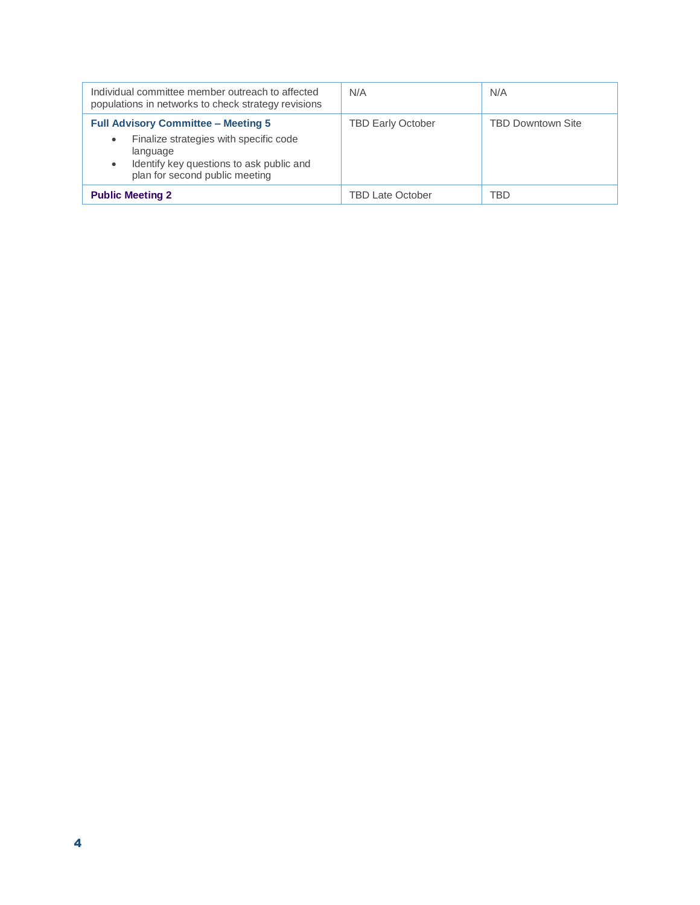| Individual committee member outreach to affected<br>populations in networks to check strategy revisions                                                                                          | N/A                      | N/A                      |
|--------------------------------------------------------------------------------------------------------------------------------------------------------------------------------------------------|--------------------------|--------------------------|
| <b>Full Advisory Committee - Meeting 5</b><br>Finalize strategies with specific code<br>$\bullet$<br>language<br>Identify key questions to ask public and<br>٠<br>plan for second public meeting | <b>TBD Early October</b> | <b>TBD Downtown Site</b> |
| <b>Public Meeting 2</b>                                                                                                                                                                          | <b>TBD Late October</b>  | TBD                      |